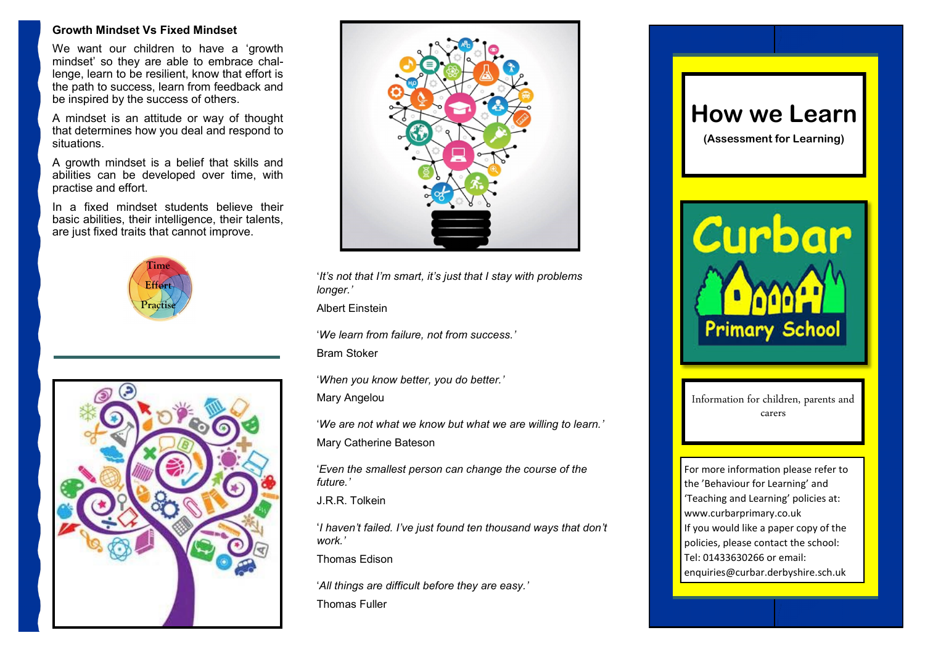### **Growth Mindset Vs Fixed Mindset**

We want our children to have a 'growth mindset' so they are able to embrace challenge, learn to be resilient, know that effort is the path to success, learn from feedback and be inspired by the success of others.

A mindset is an attitude or way of thought that determines how you deal and respond to situations.

A growth mindset is a belief that skills and abilities can be developed over time, with practise and effort.

In a fixed mindset students believe their basic abilities, their intelligence, their talents, are just fixed traits that cannot improve.







'*It's not that I'm smart, it's just that I stay with problems longer.'* 

Albert Einstein

'*We learn from failure, not from success.'*

Bram Stoker

'*When you know better, you do better.'* Mary Angelou

'*We are not what we know but what we are willing to learn.'* Mary Catherine Bateson

'*Even the smallest person can change the course of the future.'*

J.R.R. Tolkein

'*I haven't failed. I've just found ten thousand ways that don't work.'*

Thomas Edison

'*All things are difficult before they are easy.'* 

Thomas Fuller



**(Assessment for Learning)**



Information for children, parents and carers

For more information please refer to the 'Behaviour for Learning' and 'Teaching and Learning' policies at: www.curbarprimary.co.uk If you would like a paper copy of the policies, please contact the school: Tel: 01433630266 or email: enquiries@curbar.derbyshire.sch.uk